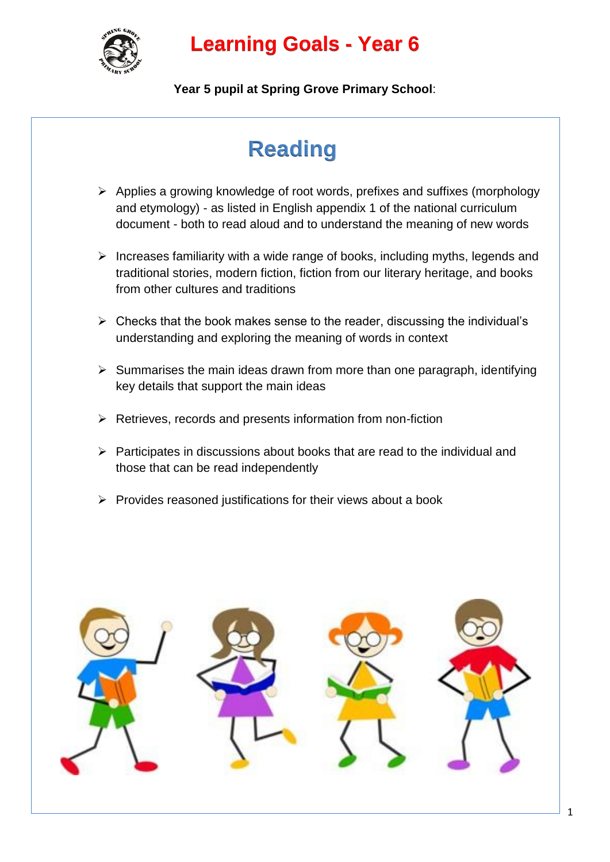

## **Learning Goals - Year 6**

**Year 5 pupil at Spring Grove Primary School**:

# **Reading**

- $\triangleright$  Applies a growing knowledge of root words, prefixes and suffixes (morphology and etymology) - as listed in English appendix 1 of the national curriculum document - both to read aloud and to understand the meaning of new words
- $\triangleright$  Increases familiarity with a wide range of books, including myths, legends and traditional stories, modern fiction, fiction from our literary heritage, and books from other cultures and traditions
- $\triangleright$  Checks that the book makes sense to the reader, discussing the individual's understanding and exploring the meaning of words in context
- $\triangleright$  Summarises the main ideas drawn from more than one paragraph, identifying key details that support the main ideas
- $\triangleright$  Retrieves, records and presents information from non-fiction
- $\triangleright$  Participates in discussions about books that are read to the individual and those that can be read independently
- $\triangleright$  Provides reasoned iustifications for their views about a book

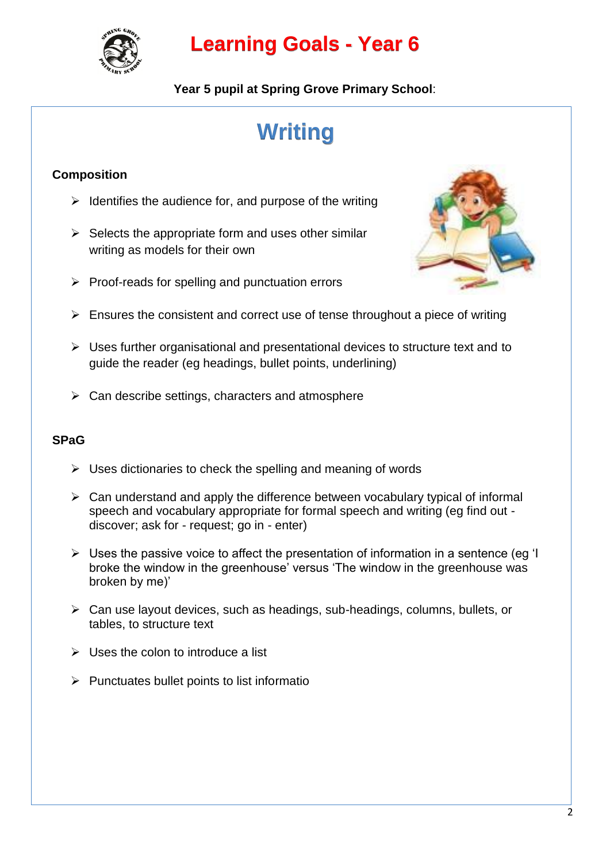

## **Learning Goals - Year 6**

**Year 5 pupil at Spring Grove Primary School**:

# **Writing**

## **Composition**

- $\triangleright$  Identifies the audience for, and purpose of the writing
- $\triangleright$  Selects the appropriate form and uses other similar writing as models for their own
- $\triangleright$  Proof-reads for spelling and punctuation errors



- $\triangleright$  Ensures the consistent and correct use of tense throughout a piece of writing
- $\triangleright$  Uses further organisational and presentational devices to structure text and to guide the reader (eg headings, bullet points, underlining)
- $\triangleright$  Can describe settings, characters and atmosphere

### **SPaG**

- $\triangleright$  Uses dictionaries to check the spelling and meaning of words
- $\triangleright$  Can understand and apply the difference between vocabulary typical of informal speech and vocabulary appropriate for formal speech and writing (eg find out discover; ask for - request; go in - enter)
- $\triangleright$  Uses the passive voice to affect the presentation of information in a sentence (eg 'I broke the window in the greenhouse' versus 'The window in the greenhouse was broken by me)'
- Can use layout devices, such as headings, sub-headings, columns, bullets, or tables, to structure text
- $\triangleright$  Uses the colon to introduce a list
- $\triangleright$  Punctuates bullet points to list informatio